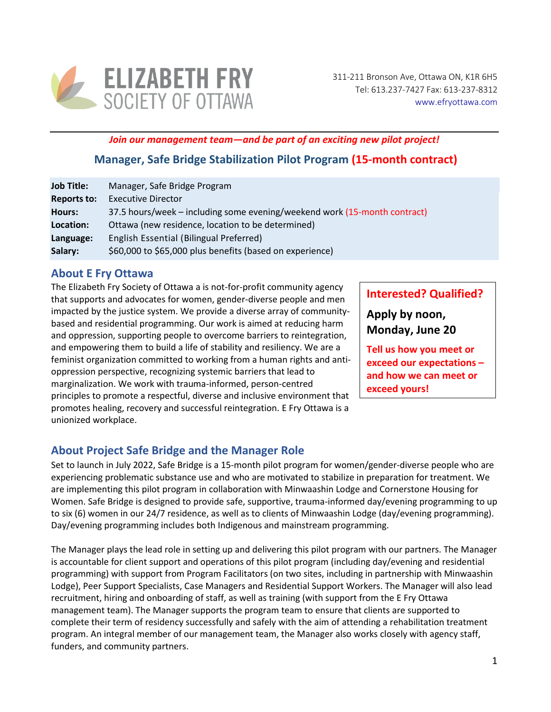

*Join our management team—and be part of an exciting new pilot project!*

## **Manager, Safe Bridge Stabilization Pilot Program (15-month contract)**

| <b>Job Title:</b>  | Manager, Safe Bridge Program                                              |
|--------------------|---------------------------------------------------------------------------|
| <b>Reports to:</b> | <b>Executive Director</b>                                                 |
| <b>Hours:</b>      | 37.5 hours/week – including some evening/weekend work (15-month contract) |
| Location:          | Ottawa (new residence, location to be determined)                         |
| Language:          | English Essential (Bilingual Preferred)                                   |
| Salary:            | \$60,000 to \$65,000 plus benefits (based on experience)                  |

### **About E Fry Ottawa**

The Elizabeth Fry Society of Ottawa a is not-for-profit community agency that supports and advocates for women, gender-diverse people and men impacted by the justice system. We provide a diverse array of communitybased and residential programming. Our work is aimed at reducing harm and oppression, supporting people to overcome barriers to reintegration, and empowering them to build a life of stability and resiliency. We are a feminist organization committed to working from a human rights and antioppression perspective, recognizing systemic barriers that lead to marginalization. We work with trauma-informed, person-centred principles to promote a respectful, diverse and inclusive environment that promotes healing, recovery and successful reintegration. E Fry Ottawa is a unionized workplace.

**Interested? Qualified?**

**Apply by noon, Monday, June 20**

**Tell us how you meet or exceed our expectations – and how we can meet or exceed yours!**

## **About Project Safe Bridge and the Manager Role**

Set to launch in July 2022, Safe Bridge is a 15-month pilot program for women/gender-diverse people who are experiencing problematic substance use and who are motivated to stabilize in preparation for treatment. We are implementing this pilot program in collaboration with Minwaashin Lodge and Cornerstone Housing for Women. Safe Bridge is designed to provide safe, supportive, trauma-informed day/evening programming to up to six (6) women in our 24/7 residence, as well as to clients of Minwaashin Lodge (day/evening programming). Day/evening programming includes both Indigenous and mainstream programming.

The Manager plays the lead role in setting up and delivering this pilot program with our partners. The Manager is accountable for client support and operations of this pilot program (including day/evening and residential programming) with support from Program Facilitators (on two sites, including in partnership with Minwaashin Lodge), Peer Support Specialists, Case Managers and Residential Support Workers. The Manager will also lead recruitment, hiring and onboarding of staff, as well as training (with support from the E Fry Ottawa management team). The Manager supports the program team to ensure that clients are supported to complete their term of residency successfully and safely with the aim of attending a rehabilitation treatment program. An integral member of our management team, the Manager also works closely with agency staff, funders, and community partners.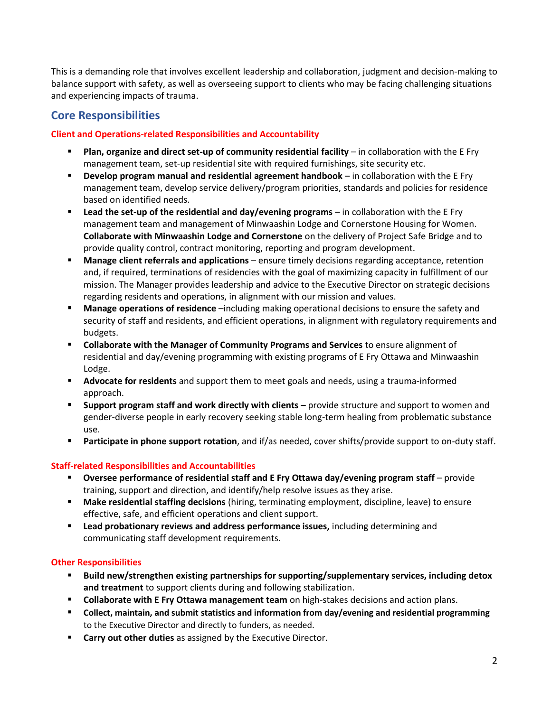This is a demanding role that involves excellent leadership and collaboration, judgment and decision-making to balance support with safety, as well as overseeing support to clients who may be facing challenging situations and experiencing impacts of trauma.

### **Core Responsibilities**

### **Client and Operations-related Responsibilities and Accountability**

- **Plan, organize and direct set-up of community residential facility in collaboration with the E Fry** management team, set-up residential site with required furnishings, site security etc.
- **Develop program manual and residential agreement handbook** in collaboration with the E Fry management team, develop service delivery/program priorities, standards and policies for residence based on identified needs.
- **Example 1 Lead the set-up of the residential and day/evening programs** in collaboration with the E Fry management team and management of Minwaashin Lodge and Cornerstone Housing for Women. **Collaborate with Minwaashin Lodge and Cornerstone** on the delivery of Project Safe Bridge and to provide quality control, contract monitoring, reporting and program development.
- **Manage client referrals and applications** ensure timely decisions regarding acceptance, retention and, if required, terminations of residencies with the goal of maximizing capacity in fulfillment of our mission. The Manager provides leadership and advice to the Executive Director on strategic decisions regarding residents and operations, in alignment with our mission and values.
- Manage operations of residence –including making operational decisions to ensure the safety and security of staff and residents, and efficient operations, in alignment with regulatory requirements and budgets.
- **Collaborate with the Manager of Community Programs and Services** to ensure alignment of residential and day/evening programming with existing programs of E Fry Ottawa and Minwaashin Lodge.
- **EXTER Advocate for residents** and support them to meet goals and needs, using a trauma-informed approach.
- **Support program staff and work directly with clients** provide structure and support to women and gender-diverse people in early recovery seeking stable long-term healing from problematic substance use.
- **Participate in phone support rotation**, and if/as needed, cover shifts/provide support to on-duty staff.

#### **Staff-related Responsibilities and Accountabilities**

- Oversee performance of residential staff and E Fry Ottawa day/evening program staff provide training, support and direction, and identify/help resolve issues as they arise.
- **Make residential staffing decisions** (hiring, terminating employment, discipline, leave) to ensure effective, safe, and efficient operations and client support.
- **Lead probationary reviews and address performance issues,** including determining and communicating staff development requirements.

#### **Other Responsibilities**

- **Build new/strengthen existing partnerships for supporting/supplementary services, including detox and treatment** to support clients during and following stabilization.
- **Collaborate with E Fry Ottawa management team** on high-stakes decisions and action plans.
- **Collect, maintain, and submit statistics and information from day/evening and residential programming**  to the Executive Director and directly to funders, as needed.
- **Carry out other duties** as assigned by the Executive Director.